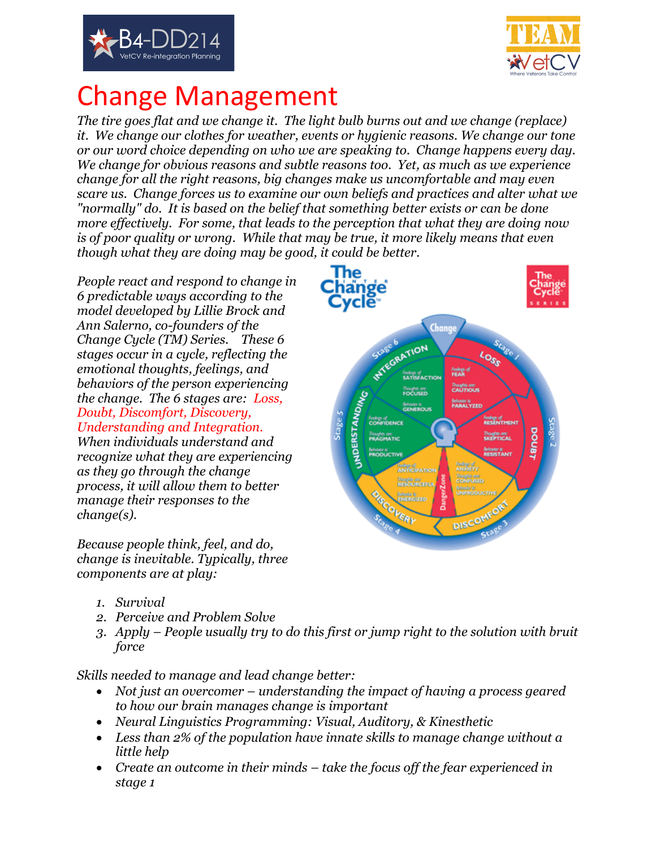



## Change Management

*The tire goes flat and we change it. The light bulb burns out and we change (replace) it. We change our clothes for weather, events or hygienic reasons. We change our tone or our word choice depending on who we are speaking to. Change happens every day. We change for obvious reasons and subtle reasons too. Yet, as much as we experience change for all the right reasons, big changes make us uncomfortable and may even scare us. Change forces us to examine our own beliefs and practices and alter what we "normally" do. It is based on the belief that something better exists or can be done more effectively. For some, that leads to the perception that what they are doing now is of poor quality or wrong. While that may be true, it more likely means that even though what they are doing may be good, it could be better.* 

*People react and respond to change in 6 predictable ways according to the model developed by Lillie Brock and Ann Salerno, co-founders of the Change Cycle (TM) Series. These 6 stages occur in a cycle, reflecting the emotional thoughts, feelings, and behaviors of the person experiencing the change. The 6 stages are: Loss, Doubt, Discomfort, Discovery, Understanding and Integration.* 

*When individuals understand and recognize what they are experiencing as they go through the change process, it will allow them to better manage their responses to the change(s).*

*Because people think, feel, and do, change is inevitable. Typically, three components are at play:*



- *1. Survival*
- *2. Perceive and Problem Solve*
- *3. Apply – People usually try to do this first or jump right to the solution with bruit force*

*Skills needed to manage and lead change better:*

- *Not just an overcomer – understanding the impact of having a process geared to how our brain manages change is important*
- *Neural Linguistics Programming: Visual, Auditory, & Kinesthetic*
- *Less than 2% of the population have innate skills to manage change without a little help*
- *Create an outcome in their minds – take the focus off the fear experienced in stage 1*